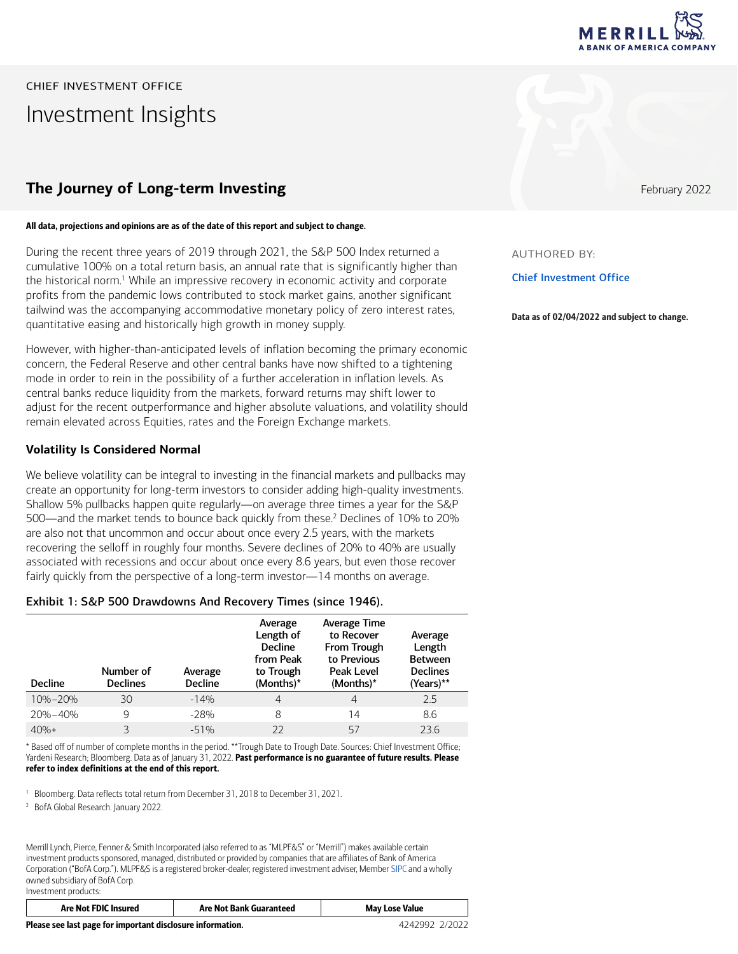

CHIEF INVESTMENT OFFICE Investment Insights

# **The Journey of Long-term Investing Figure 2022 February 2022**

### All data, projections and opinions are as of the date of this report and subject to change.

During the recent three years of 2019 through 2021, the S&P 500 Index returned a cumulative 100% on a total return basis, an annual rate that is significantly higher than the historical norm.<sup>1</sup> While an impressive recovery in economic activity and corporate profits from the pandemic lows contributed to stock market gains, another significant tailwind was the accompanying accommodative monetary policy of zero interest rates, quantitative easing and historically high growth in money supply.

However, with higher-than-anticipated levels of inflation becoming the primary economic concern, the Federal Reserve and other central banks have now shifted to a tightening mode in order to rein in the possibility of a further acceleration in inflation levels. As central banks reduce liquidity from the markets, forward returns may shift lower to adjust for the recent outperformance and higher absolute valuations, and volatility should remain elevated across Equities, rates and the Foreign Exchange markets.

## **Volatility Is Considered Normal**

We believe volatility can be integral to investing in the financial markets and pullbacks may create an opportunity for long-term investors to consider adding high-quality investments. Shallow 5% pullbacks happen quite regularly―on average three times a year for the S&P 500—and the market tends to bounce back quickly from these.<sup>2</sup> Declines of 10% to 20% are also not that uncommon and occur about once every 2.5 years, with the markets recovering the selloff in roughly four months. Severe declines of 20% to 40% are usually associated with recessions and occur about once every 8.6 years, but even those recover fairly quickly from the perspective of a long-term investor-14 months on average.

## Exhibit 1: S&P 500 Drawdowns And Recovery Times (since 1946).

| <b>Decline</b> | Number of<br><b>Declines</b> | Average<br><b>Decline</b> | Average<br>Length of<br><b>Decline</b><br>from Peak<br>to Trough<br>(Months)* | Average Time<br>to Recover<br><b>From Trough</b><br>to Previous<br>Peak Level<br>(Months)* | Average<br>Length<br><b>Between</b><br><b>Declines</b><br>(Years)** |
|----------------|------------------------------|---------------------------|-------------------------------------------------------------------------------|--------------------------------------------------------------------------------------------|---------------------------------------------------------------------|
| $10\% - 20\%$  | 30                           | $-14%$                    | 4                                                                             | 4                                                                                          | 2.5                                                                 |
| $20% - 40%$    | 9                            | $-28%$                    | 8                                                                             | 14                                                                                         | 8.6                                                                 |
| $40% +$        | ζ                            | $-51%$                    | 22                                                                            | 57                                                                                         | 23.6                                                                |

\* Based off of number of complete months in the period. \*\*Trough Date to Trough Date. Sources: Chief Investment Office; Yardeni Research; Bloomberg. Data as of January 31, 2022. Past performance is no guarantee of future results. Please refer to index definitions at the end of this report.

<sup>1</sup> Bloomberg. Data reflects total return from December 31, 2018 to December 31, 2021.

2 BofA Global Research. January 2022.

Merrill Lynch, Pierce, Fenner & Smith Incorporated (also referred to as "MLPF&S" or "Merrill") makes available certain investment products sponsored, managed, distributed or provided by companies that are affiliates of Bank of America Corporation ("BofA Corp."). MLPF&S is a registered broker-dealer, registered investment adviser, Member [SIPC](https://www.sipc.org/) and a wholly owned subsidiary of BofA Corp. Investment products:

| Are Not FDIC Insured                                       | <b>Are Not Bank Guaranteed</b> | <b>May Lose Value</b> |
|------------------------------------------------------------|--------------------------------|-----------------------|
| Please see last page for important disclosure information. | 4242992 2/2022                 |                       |

AUTHORED BY:

Chief Investment Office

Data as of 02/04/2022 and subject to change.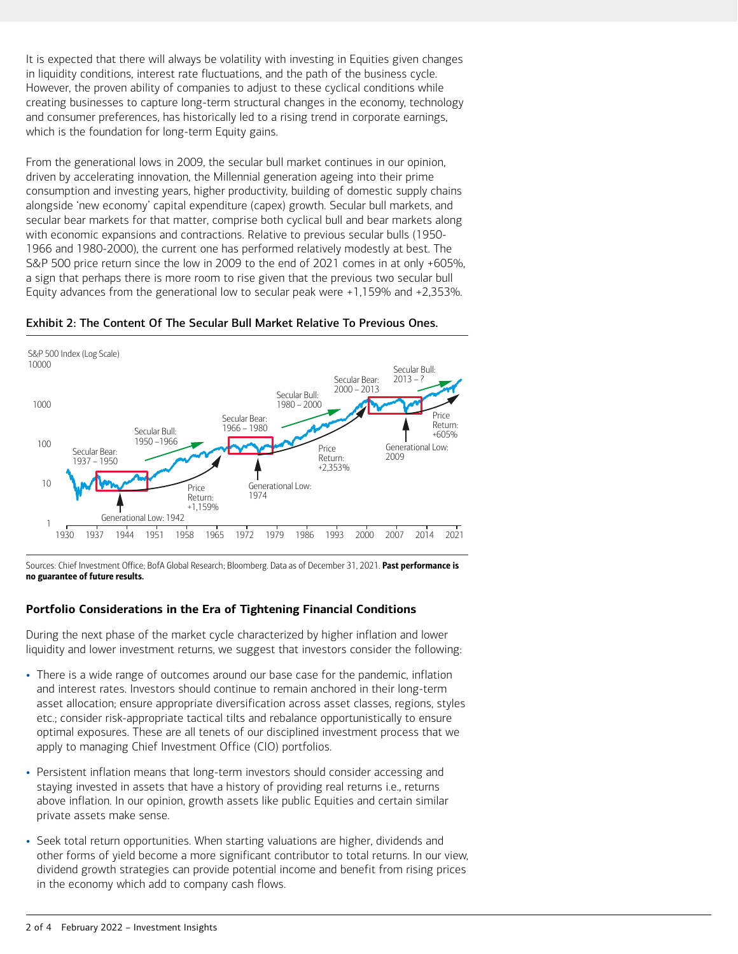It is expected that there will always be volatility with investing in Equities given changes in liquidity conditions, interest rate fluctuations, and the path of the business cycle. However, the proven ability of companies to adjust to these cyclical conditions while creating businesses to capture long-term structural changes in the economy, technology and consumer preferences, has historically led to a rising trend in corporate earnings, which is the foundation for long-term Equity gains.

From the generational lows in 2009, the secular bull market continues in our opinion, driven by accelerating innovation, the Millennial generation ageing into their prime consumption and investing years, higher productivity, building of domestic supply chains alongside 'new economy' capital expenditure (capex) growth. Secular bull markets, and secular bear markets for that matter, comprise both cyclical bull and bear markets along with economic expansions and contractions. Relative to previous secular bulls (1950- 1966 and 1980-2000), the current one has performed relatively modestly at best. The S&P 500 price return since the low in 2009 to the end of 2021 comes in at only +605%, a sign that perhaps there is more room to rise given that the previous two secular bull Equity advances from the generational low to secular peak were +1,159% and +2,353%.



Exhibit 2: The Content Of The Secular Bull Market Relative To Previous Ones.

Sources: Chief Investment Office; BofA Global Research; Bloomberg. Data as of December 31, 2021. Past performance is no guarantee of future results.

# **Portfolio Considerations in the Era of Tightening Financial Conditions**

During the next phase of the market cycle characterized by higher inflation and lower liquidity and lower investment returns, we suggest that investors consider the following:

- There is a wide range of outcomes around our base case for the pandemic, inflation and interest rates. Investors should continue to remain anchored in their long-term asset allocation; ensure appropriate diversification across asset classes, regions, styles etc.; consider risk-appropriate tactical tilts and rebalance opportunistically to ensure optimal exposures. These are all tenets of our disciplined investment process that we apply to managing Chief Investment Office (CIO) portfolios.
- Persistent inflation means that long-term investors should consider accessing and staying invested in assets that have a history of providing real returns i.e., returns above inflation. In our opinion, growth assets like public Equities and certain similar private assets make sense.
- Seek total return opportunities. When starting valuations are higher, dividends and other forms of yield become a more significant contributor to total returns. In our view, dividend growth strategies can provide potential income and benefit from rising prices in the economy which add to company cash flows.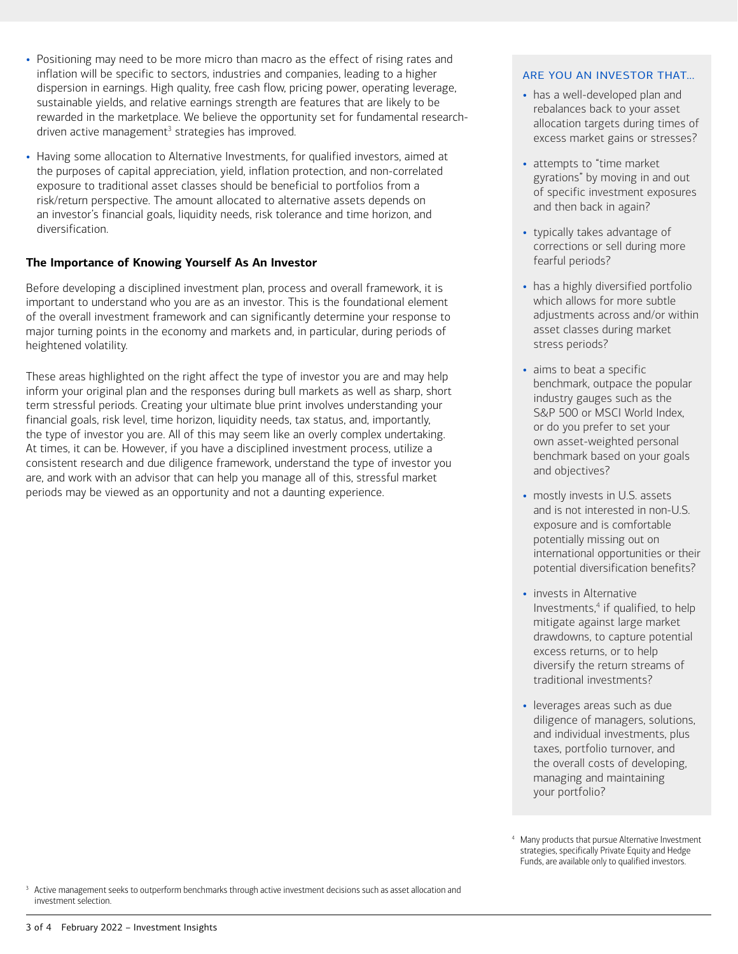- Positioning may need to be more micro than macro as the effect of rising rates and inflation will be specific to sectors, industries and companies, leading to a higher dispersion in earnings. High quality, free cash flow, pricing power, operating leverage, sustainable yields, and relative earnings strength are features that are likely to be rewarded in the marketplace. We believe the opportunity set for fundamental researchdriven active management<sup>3</sup> strategies has improved.
- Having some allocation to Alternative Investments, for qualified investors, aimed at the purposes of capital appreciation, yield, inflation protection, and non-correlated exposure to traditional asset classes should be beneficial to portfolios from a risk/return perspective. The amount allocated to alternative assets depends on an investor's financial goals, liquidity needs, risk tolerance and time horizon, and diversification.

# **The Importance of Knowing Yourself As An Investor**

Before developing a disciplined investment plan, process and overall framework, it is important to understand who you are as an investor. This is the foundational element of the overall investment framework and can significantly determine your response to major turning points in the economy and markets and, in particular, during periods of heightened volatility.

These areas highlighted on the right affect the type of investor you are and may help inform your original plan and the responses during bull markets as well as sharp, short term stressful periods. Creating your ultimate blue print involves understanding your financial goals, risk level, time horizon, liquidity needs, tax status, and, importantly, the type of investor you are. All of this may seem like an overly complex undertaking. At times, it can be. However, if you have a disciplined investment process, utilize a consistent research and due diligence framework, understand the type of investor you are, and work with an advisor that can help you manage all of this, stressful market periods may be viewed as an opportunity and not a daunting experience.

## ARE YOU AN INVESTOR THAT…

- has a well-developed plan and rebalances back to your asset allocation targets during times of excess market gains or stresses?
- attempts to "time market gyrations" by moving in and out of specific investment exposures and then back in again?
- typically takes advantage of corrections or sell during more fearful periods?
- has a highly diversified portfolio which allows for more subtle adjustments across and/or within asset classes during market stress periods?
- aims to beat a specific benchmark, outpace the popular industry gauges such as the S&P 500 or MSCI World Index, or do you prefer to set your own asset-weighted personal benchmark based on your goals and objectives?
- mostly invests in U.S. assets and is not interested in non-U.S. exposure and is comfortable potentially missing out on international opportunities or their potential diversification benefits?
- invests in Alternative Investments,<sup>4</sup> if qualified, to help mitigate against large market drawdowns, to capture potential excess returns, or to help diversify the return streams of traditional investments?
- leverages areas such as due diligence of managers, solutions, and individual investments, plus taxes, portfolio turnover, and the overall costs of developing, managing and maintaining your portfolio?
- 4 Many products that pursue Alternative Investment strategies, specifically Private Equity and Hedge Funds, are available only to qualified investors.

3 Active management seeks to outperform benchmarks through active investment decisions such as asset allocation and investment selection.